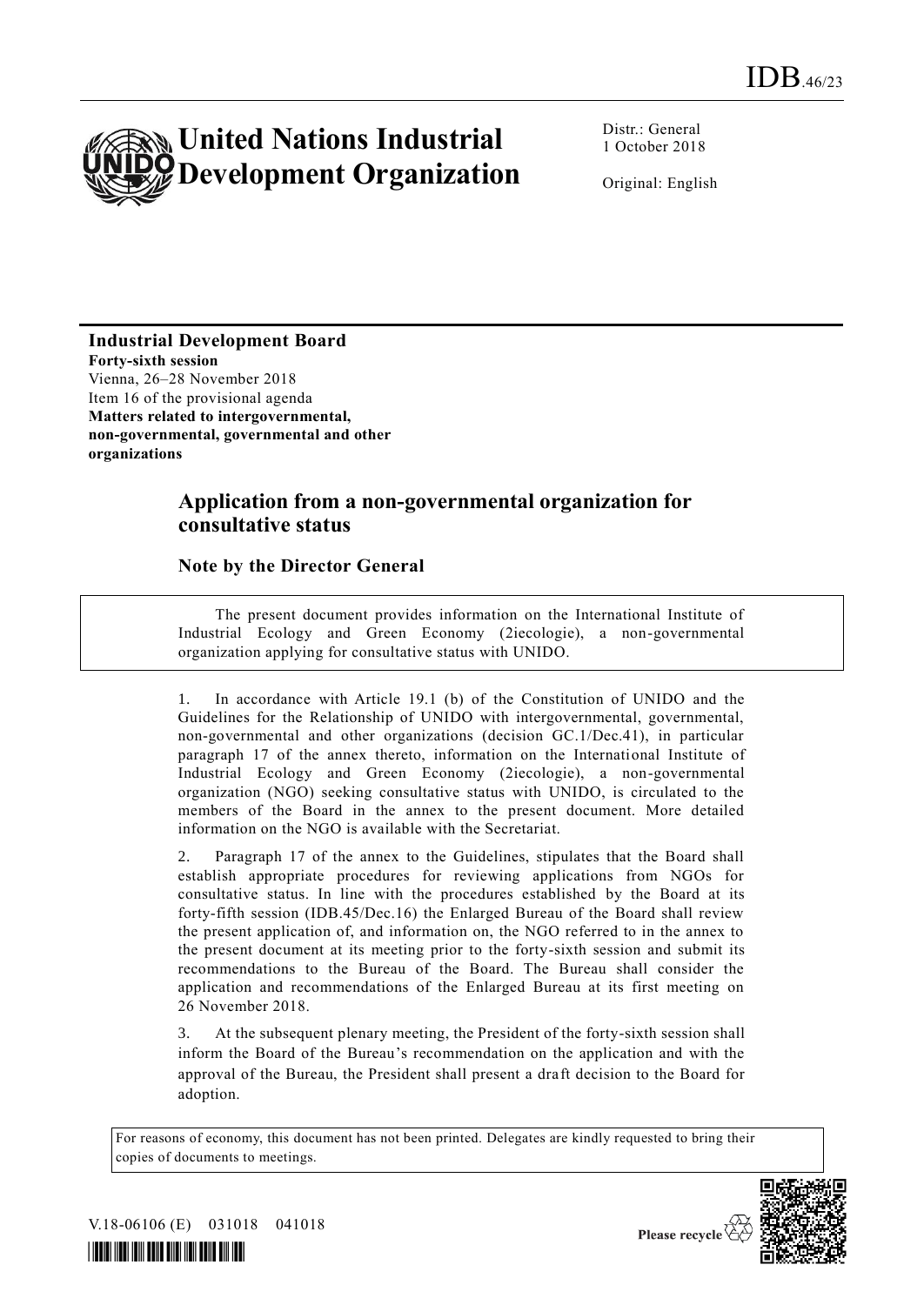

Distr.: General 1 October 2018

Original: English

**Industrial Development Board Forty-sixth session** Vienna, 26–28 November 2018 Item 16 of the provisional agenda **Matters related to intergovernmental, non-governmental, governmental and other organizations**

# **Application from a non-governmental organization for consultative status**

## **Note by the Director General**

The present document provides information on the International Institute of Industrial Ecology and Green Economy (2iecologie), a non-governmental organization applying for consultative status with UNIDO.

1. In accordance with Article 19.1 (b) of the Constitution of UNIDO and the Guidelines for the Relationship of UNIDO with intergovernmental, governmental, non-governmental and other organizations (decision GC.1/Dec.41), in particular paragraph 17 of the annex thereto, information on the International Institute of Industrial Ecology and Green Economy (2iecologie), a non-governmental organization (NGO) seeking consultative status with UNIDO, is circulated to the members of the Board in the annex to the present document. More detailed information on the NGO is available with the Secretariat.

2. Paragraph 17 of the annex to the Guidelines, stipulates that the Board shall establish appropriate procedures for reviewing applications from NGOs for consultative status. In line with the procedures established by the Board at its forty-fifth session (IDB.45/Dec.16) the Enlarged Bureau of the Board shall review the present application of, and information on, the NGO referred to in the annex to the present document at its meeting prior to the forty-sixth session and submit its recommendations to the Bureau of the Board. The Bureau shall consider the application and recommendations of the Enlarged Bureau at its first meeting on 26 November 2018.

3. At the subsequent plenary meeting, the President of the forty-sixth session shall inform the Board of the Bureau's recommendation on the application and with the approval of the Bureau, the President shall present a draft decision to the Board for adoption.

For reasons of economy, this document has not been printed. Delegates are kindly requested to bring their copies of documents to meetings.



V.18-06106 (E) 031018 041018



Please recycle  $\overline{\mathcal{C}}$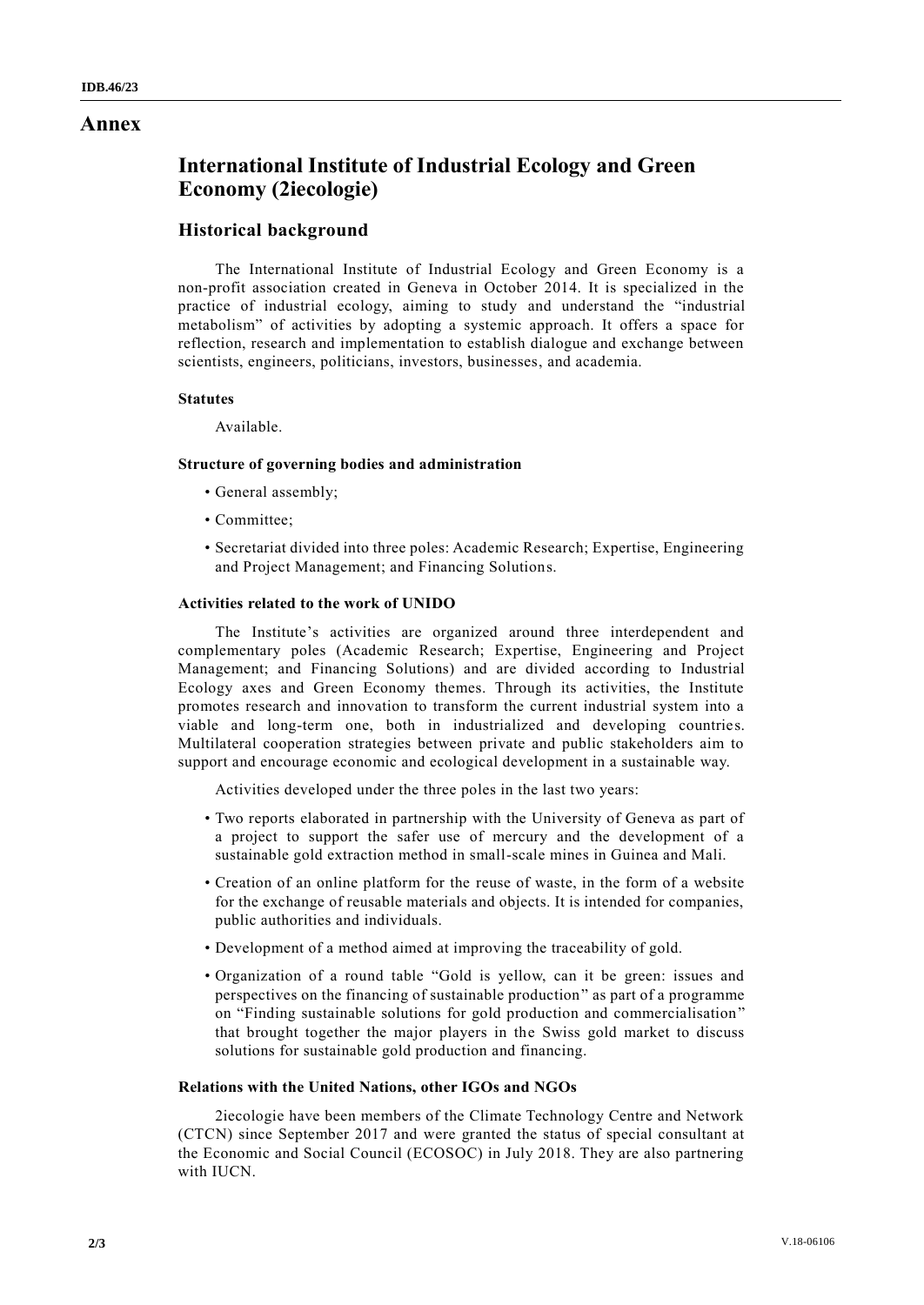## **Annex**

# **International Institute of Industrial Ecology and Green Economy (2iecologie)**

### **Historical background**

The International Institute of Industrial Ecology and Green Economy is a non-profit association created in Geneva in October 2014. It is specialized in the practice of industrial ecology, aiming to study and understand the "industrial metabolism" of activities by adopting a systemic approach. It offers a space for reflection, research and implementation to establish dialogue and exchange between scientists, engineers, politicians, investors, businesses, and academia.

#### **Statutes**

Available.

#### **Structure of governing bodies and administration**

- General assembly;
- Committee;
- Secretariat divided into three poles: Academic Research; Expertise, Engineering and Project Management; and Financing Solutions.

#### **Activities related to the work of UNIDO**

The Institute's activities are organized around three interdependent and complementary poles (Academic Research; Expertise, Engineering and Project Management; and Financing Solutions) and are divided according to Industrial Ecology axes and Green Economy themes. Through its activities, the Institute promotes research and innovation to transform the current industrial system into a viable and long-term one, both in industrialized and developing countries. Multilateral cooperation strategies between private and public stakeholders aim to support and encourage economic and ecological development in a sustainable way.

Activities developed under the three poles in the last two years:

- Two reports elaborated in partnership with the University of Geneva as part of a project to support the safer use of mercury and the development of a sustainable gold extraction method in small-scale mines in Guinea and Mali.
- Creation of an online platform for the reuse of waste, in the form of a website for the exchange of reusable materials and objects. It is intended for companies, public authorities and individuals.
- Development of a method aimed at improving the traceability of gold.
- Organization of a round table "Gold is yellow, can it be green: issues and perspectives on the financing of sustainable production" as part of a programme on "Finding sustainable solutions for gold production and commercialisation" that brought together the major players in the Swiss gold market to discuss solutions for sustainable gold production and financing.

#### **Relations with the United Nations, other IGOs and NGOs**

2iecologie have been members of the Climate Technology Centre and Network (CTCN) since September 2017 and were granted the status of special consultant at the Economic and Social Council (ECOSOC) in July 2018. They are also partnering with IUCN.